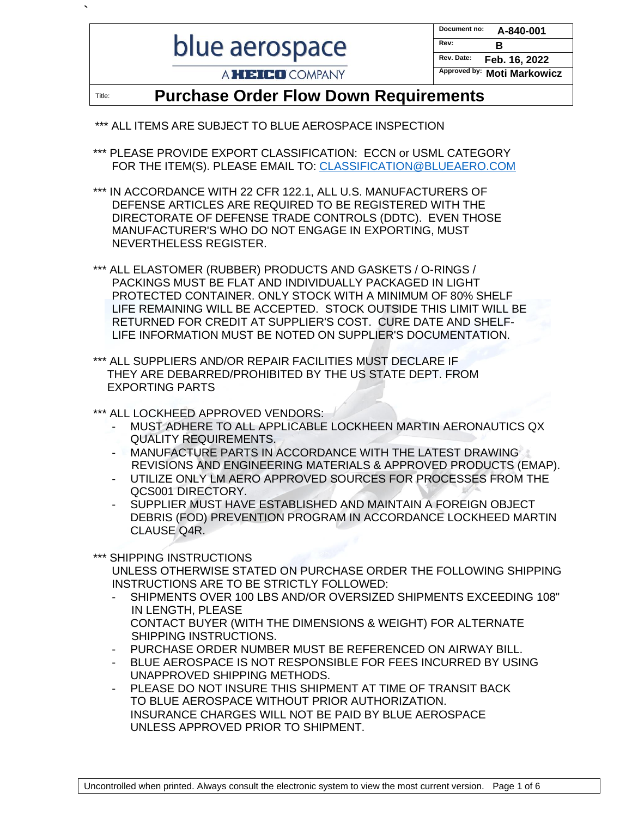blue aerospace

**`**

| Document no: | A-840-001             |
|--------------|-----------------------|
| Rev:         | в                     |
| Rev. Date:   | Feb. 16, 2022         |
| Approved by: | <b>Moti Markowicz</b> |

A **HEICO** COMPANY

## Title: **Purchase Order Flow Down Requirements**

- \*\*\* ALL ITEMS ARE SUBJECT TO BLUE AEROSPACE INSPECTION
- \*\*\* PLEASE PROVIDE EXPORT CLASSIFICATION: ECCN or USML CATEGORY FOR THE ITEM(S). PLEASE EMAIL TO: [CLASSIFICATION@BLUEAERO.COM](mailto:CLASSIFICATION@BLUEAERO.COM)
- \*\*\* IN ACCORDANCE WITH 22 CFR 122.1, ALL U.S. MANUFACTURERS OF DEFENSE ARTICLES ARE REQUIRED TO BE REGISTERED WITH THE DIRECTORATE OF DEFENSE TRADE CONTROLS (DDTC). EVEN THOSE MANUFACTURER'S WHO DO NOT ENGAGE IN EXPORTING, MUST NEVERTHELESS REGISTER.
- \*\*\* ALL ELASTOMER (RUBBER) PRODUCTS AND GASKETS / O-RINGS / PACKINGS MUST BE FLAT AND INDIVIDUALLY PACKAGED IN LIGHT PROTECTED CONTAINER. ONLY STOCK WITH A MINIMUM OF 80% SHELF LIFE REMAINING WILL BE ACCEPTED. STOCK OUTSIDE THIS LIMIT WILL BE RETURNED FOR CREDIT AT SUPPLIER'S COST. CURE DATE AND SHELF-LIFE INFORMATION MUST BE NOTED ON SUPPLIER'S DOCUMENTATION.
- \*\*\* ALL SUPPLIERS AND/OR REPAIR FACILITIES MUST DECLARE IF THEY ARE DEBARRED/PROHIBITED BY THE US STATE DEPT. FROM EXPORTING PARTS
- \*\*\* ALL LOCKHEED APPROVED VENDORS:
	- MUST ADHERE TO ALL APPLICABLE LOCKHEEN MARTIN AERONAUTICS QX QUALITY REQUIREMENTS.
	- MANUFACTURE PARTS IN ACCORDANCE WITH THE LATEST DRAWING REVISIONS AND ENGINEERING MATERIALS & APPROVED PRODUCTS (EMAP).
	- UTILIZE ONLY LM AERO APPROVED SOURCES FOR PROCESSES FROM THE QCS001 DIRECTORY.
	- SUPPLIER MUST HAVE ESTABLISHED AND MAINTAIN A FOREIGN OBJECT DEBRIS (FOD) PREVENTION PROGRAM IN ACCORDANCE LOCKHEED MARTIN CLAUSE Q4R.

\*\*\* SHIPPING INSTRUCTIONS

UNLESS OTHERWISE STATED ON PURCHASE ORDER THE FOLLOWING SHIPPING INSTRUCTIONS ARE TO BE STRICTLY FOLLOWED:

- SHIPMENTS OVER 100 LBS AND/OR OVERSIZED SHIPMENTS EXCEEDING 108" IN LENGTH, PLEASE CONTACT BUYER (WITH THE DIMENSIONS & WEIGHT) FOR ALTERNATE SHIPPING INSTRUCTIONS.
- PURCHASE ORDER NUMBER MUST BE REFERENCED ON AIRWAY BILL.
- BLUE AEROSPACE IS NOT RESPONSIBLE FOR FEES INCURRED BY USING UNAPPROVED SHIPPING METHODS.
- PLEASE DO NOT INSURE THIS SHIPMENT AT TIME OF TRANSIT BACK TO BLUE AEROSPACE WITHOUT PRIOR AUTHORIZATION. INSURANCE CHARGES WILL NOT BE PAID BY BLUE AEROSPACE UNLESS APPROVED PRIOR TO SHIPMENT.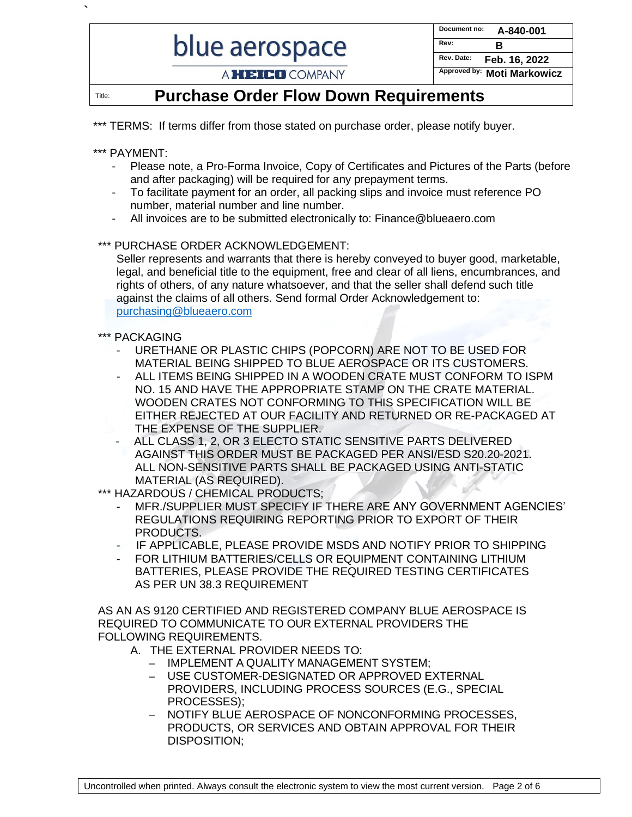# blue aerospace

| Document no: | A-840-001             |
|--------------|-----------------------|
| Rev:         | в                     |
| Rev. Date:   | Feb. 16, 2022         |
| Approved by: | <b>Moti Markowicz</b> |

## A HEICO COMPANY

## Title: **Purchase Order Flow Down Requirements**

\*\*\* TERMS: If terms differ from those stated on purchase order, please notify buyer.

#### \*\*\* PAYMENT:

**`**

- Please note, a Pro-Forma Invoice, Copy of Certificates and Pictures of the Parts (before and after packaging) will be required for any prepayment terms.
- To facilitate payment for an order, all packing slips and invoice must reference PO number, material number and line number.
- All invoices are to be submitted electronically to: [Finance@blueaero.com](mailto:Finance@blueaero.com)

#### \*\*\* PURCHASE ORDER ACKNOWLEDGEMENT:

Seller represents and warrants that there is hereby conveyed to buyer good, marketable, legal, and beneficial title to the equipment, free and clear of all liens, encumbrances, and rights of others, of any nature whatsoever, and that the seller shall defend such title against the claims of all others. Send formal Order Acknowledgement to[:](mailto:purchasing@blueaero.com) [purchasing@blueaero.com](mailto:purchasing@blueaero.com) 

#### \*\*\* PACKAGING

- URETHANE OR PLASTIC CHIPS (POPCORN) ARE NOT TO BE USED FOR MATERIAL BEING SHIPPED TO BLUE AEROSPACE OR ITS CUSTOMERS.
- ALL ITEMS BEING SHIPPED IN A WOODEN CRATE MUST CONFORM TO ISPM NO. 15 AND HAVE THE APPROPRIATE STAMP ON THE CRATE MATERIAL. WOODEN CRATES NOT CONFORMING TO THIS SPECIFICATION WILL BE EITHER REJECTED AT OUR FACILITY AND RETURNED OR RE-PACKAGED AT THE EXPENSE OF THE SUPPLIER.
- ALL CLASS 1, 2, OR 3 ELECTO STATIC SENSITIVE PARTS DELIVERED AGAINST THIS ORDER MUST BE PACKAGED PER ANSI/ESD S20.20-2021. ALL NON-SENSITIVE PARTS SHALL BE PACKAGED USING ANTI-STATIC MATERIAL (AS REQUIRED).

\*\*\* HAZARDOUS / CHEMICAL PRODUCTS;

- MFR./SUPPLIER MUST SPECIFY IF THERE ARE ANY GOVERNMENT AGENCIES' REGULATIONS REQUIRING REPORTING PRIOR TO EXPORT OF THEIR PRODUCTS.
- IF APPLICABLE, PLEASE PROVIDE MSDS AND NOTIFY PRIOR TO SHIPPING
- FOR LITHIUM BATTERIES/CELLS OR EQUIPMENT CONTAINING LITHIUM BATTERIES, PLEASE PROVIDE THE REQUIRED TESTING CERTIFICATES AS PER UN 38.3 REQUIREMENT

AS AN AS 9120 CERTIFIED AND REGISTERED COMPANY BLUE AEROSPACE IS REQUIRED TO COMMUNICATE TO OUR EXTERNAL PROVIDERS THE FOLLOWING REQUIREMENTS.

A. THE EXTERNAL PROVIDER NEEDS TO:

- IMPLEMENT A QUALITY MANAGEMENT SYSTEM;
- USE CUSTOMER-DESIGNATED OR APPROVED EXTERNAL PROVIDERS, INCLUDING PROCESS SOURCES (E.G., SPECIAL PROCESSES);
- NOTIFY BLUE AEROSPACE OF NONCONFORMING PROCESSES, PRODUCTS, OR SERVICES AND OBTAIN APPROVAL FOR THEIR DISPOSITION;

Uncontrolled when printed. Always consult the electronic system to view the most current version. Page 2 of 6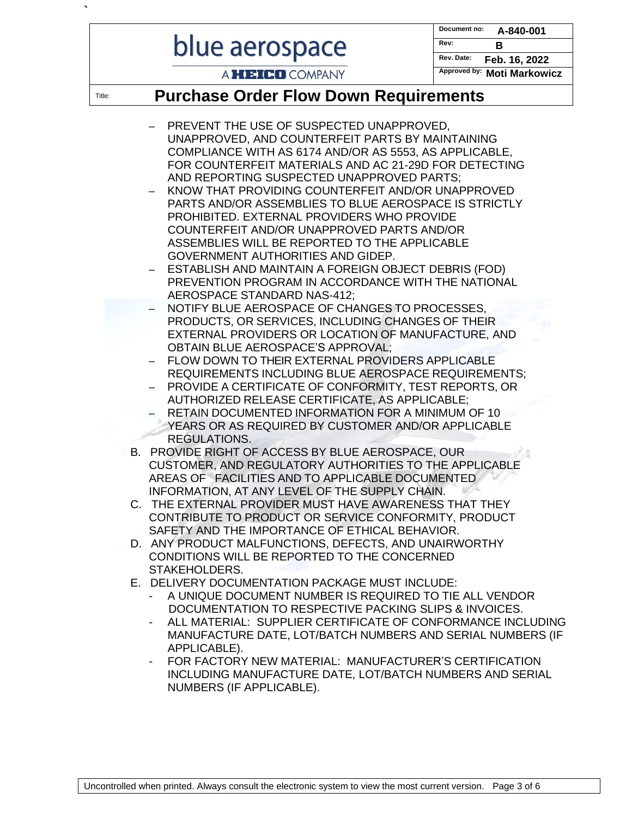# blue aerospace

**`**

**Document no: A-840-001 Rev: B Rev. Date: Feb. 16, 2022**

## A **HEICO** COMPANY

**Approved by: Moti Markowicz**

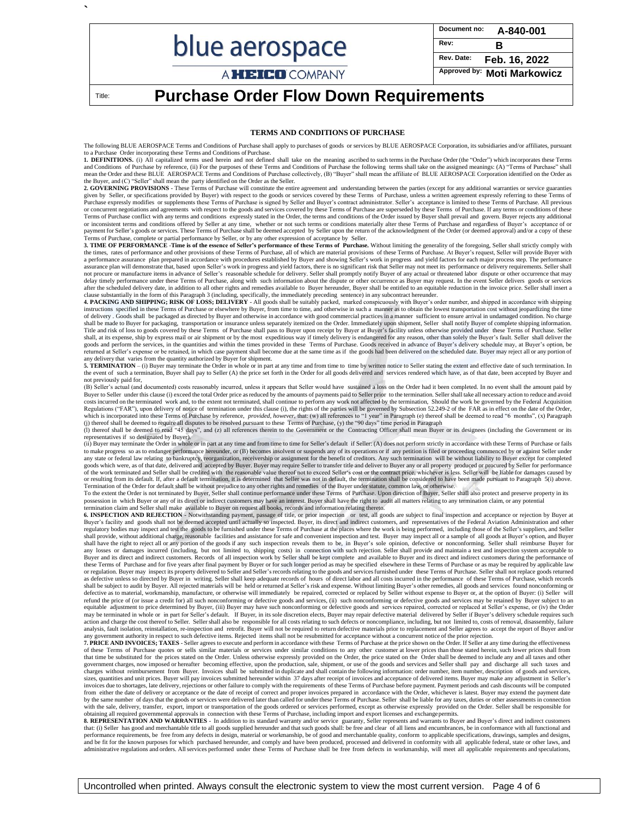|                        | Document no:<br>A-840-001          |
|------------------------|------------------------------------|
| blue aerospace         | Rev:<br>B                          |
|                        | Rev. Date: $\mathsf{Feb.16, 2022}$ |
| A <b>HEICO</b> COMPANY | Approved by: Moti Markowicz        |

Title: **Purchase Order Flow Down Requirements**

**`**

#### **TERMS AND CONDITIONS OF PURCHASE**

The following BLUE AEROSPACE Terms and Conditions of Purchase shall apply to purchases of goods or services by BLUE AEROSPACE Corporation, its subsidiaries and/or affiliates, pursuant Order incorporating these Terms and Conditions of Purchase.

1. DEFINITIONS. (i) All capitalized terms used herein and not defined shall take on the meaning ascribed to such terms in the Purchase Order (the "Order") which incorporates these Terms and Conditions of Purchase by reference, (ii) For the purposes of these Terms and Conditions of Purchase the following terms shall take on the assigned meanings: (A) "Terms of Purchase" shall<br>mean the Order and these BLUE the Buyer, and (C) "Seller" shall mean the party identified on the Order as the Seller.<br>2**. GOVERNING PROVISIONS** - These Terms of Purchase will constitute the entire agreement and understanding between the parties (except

given by Seller, or specifications provided by Buyer) with respect to the goods or services covered by these Terms of Purchase, unless a written agreement expressly referring to these Terms of Purchase expressly modifies or supplements these Terms of Purchase is signed by Seller and Buyer's contract administrator. Seller's acceptance is limited to these Terms of Purchase. All previous<br>or concurrent negotiations Terms of Purchase conflict with any terms and conditions expressly stated in the Order, the terms and conditions of the Order issued by Buyer shall prevail and govern. Buyer rejects any additional or inconsistent terms and payment for Seller's goods or services. These Terms of Purchase shall be deemed accepted by Seller upon the return of the acknowledgment of the Order (or deemed approval) and/or a copy of these

Terms of Purchase, complete or partial performance by Seller, or by any other expression of acceptance by Seller.<br>3**. TIME OF PERFORMANCE -Time is of the essence of Seller's performance of these Terms of Purchase.** Without the times, rates of performance and other provisions of these Terms of Purchase, all of which are material provisions of these Terms of Purchase. At Buyer's request, Seller will provide Buyer with<br>a performance assurance p trance plan will demonstrate that, based upon Seller's work in progress and yield factors, there is no significant risk that Seller may not meet its performance or delivery requirements. Seller shall not procure or manufacture items in advance of Seller's reasonable schedule for delivery. Seller shall promptly notify Buyer of any actual or threatened labor dispute or other occurrence that may delay timely performance under these Terms of Purchase, along with such information about the dispute or other occurrence as Buyer may request. In the event Seller delivers goods or services after the scheduled delivery date, in addition to all other rights and remedies available to Buyer hereunder, Buyer shall be entitled to an equitable reduction in the invoice price. Seller shall insert a clause substantially in the form of this Paragraph 3 (including, specifically, the immediately preceding sentence) in any subcontract hereunder.

4. PACKING AND SHIPPING; RISK OF LOSS; DELIVERY - All goods shall be suitably packed, marked conspicuously with Buyer's order number, and shipped in accordance with shipping instructions specified in these Terms of Purchas shall be made to Buyer for packaging, transportation or insurance unless separately itemized on the Order. Immediately upon shipment, Seller shall notify Buyer of complete shipping information.<br>Title and risk of loss to go goods and perform the services, in the quantities and within the times provided in these Terms of Purchase. Goods received in advance of Buyer's delivery schedule may, at Buyer's option, be<br>returned at Seller's expense or any delivery that varies from the quantity authorized by Buyer for shipment.

**5. TERMINATION** – (i) Buyer may terminate the Order in whole or in part at any time and from time to time by written notice to Seller stating the extent and effective date of such termination. In<br>the event of such a termi not previously paid for,

(B) Seller's actual (and documented) costs reasonably incurred, unless it appears that Seller would have sustained a loss on the Order had it been completed. In no event shall the amount paid by Buyer to Seller under this clause (i) exceed the total Order price asreduced by the amounts of payments paid to Seller prior to the termination. Seller shall take all necessary action to reduce and avoid costs incurred on the terminated work and, to the extent not terminated, shall continue to perform any work not affected by the termination, Should the work be governed by the Federal Acquisition<br>Regulations ("FAR"), upon which is incorporated into these Terms of Purchase by reference, *provided, however*, that: (w) all references to "1 year" in Paragraph (e) thereof shall be deemed to read "6 months", (x) Paragraph<br>(i) thereof shall be dee

(i) thereof shall be deemed to read "45 days", and (z) all references therein to the Government or the Contracting Officer shall mean Buyer or its designees (including the Government or its designees) representatives if so designated by Buyer).

(ii) Buyer may terminate the Order in whole or in part at any time and from time to time for Seller's default if Seller: (A) does not perform strictly in accordance with these Terms of Purchase or fails to make progress so as to endanger performance hereunder, or (B) becomes insolvent or suspends any of its operations or if any petition is filed or proceeding commenced by or against Seller under any state or federal law r

Termination of the Order for default shall be without prejudice to any other rights and remedies of the Buyer under statute, common law, or otherwise.<br>To the extent the Order is not terminated by Buyer, Seller shall contin

termination claim and Seller shall make available to Buyer on request all books, records and information relating thereto.<br>6. INSPECTION AND REJECTION - Notwithstanding payment, passage of title, or prior inspection or tes Buyer's facility and goods shall not be deemed accepted until actually so inspected. Buyer, its direct and indirect customers, and representatives of the Federal Aviation Administration and other regulatory bodies may inspect and test the goods to be furnished under these Terms of Purchase at the places where the work is being performed, including those of the Seller's suppliers, and Seller<br>shall provide, without a shall have the right to reject all or any portion of the goods if any such inspection reveals them to be, in Buyer's sole opinion, defective or nonconforming. Seller shall reimburse Buyer for<br>any losses or damages incurred Buyer and its direct and indirect customers. Records of all inspection work by Seller shall be kept complete and available to Buyer and its direct and indirect customers during the performance of these Terms of Purchase and for five years after final payment by Buyer or for such longer period as may be specified elsewhere in these Terms of Purchase or as may be required by applicable law<br>or regulation. Buyer may in as defective unless so directed by Buyer in writing. Seller shall keep adequate records of hours of direct labor and all costs incurred in the performance of these Terms of Purchase, which records<br>shall be subject to audit defective as to material, workmanship, manufacture, or otherwise will immediately be repaired, corrected or replaced by Seller without expense to Buyer or, at the option of Buyer: (i) Seller will refund the price of (or issue a credit for) all such nonconforming or defective goods and services in porto form ing or defective goods and services may be retained by Buyer subject to an<br>equitable adjustment to price dete may be terminated in whole or in part for Seller's default. If Buyer, in its sole discretion elects, Buyer may repair defective material delivered by Seller if Buyer's delivery schedule requires such<br>action and charge the analysis, fault isolation, reinstallation, re-inspection and retrofit. Buyer will not be required to return defective materials prior to replacement and Seller agrees to accept the report of Buyer and/or

any government authority in respect to such defective items. Rejected items shall not be resubmitted for acceptance without a concurrent notice of the prior rejection.<br>**7. PRICE AND INVOICES; TAXES** - Seller agrees to exe of these Terms of Purchase quotes or sells similar materials or services under similar conditions to any other customer at lower prices than those stated herein, such lower prices shall from<br>that time be substituted for th government charges, now imposed or hereafter becoming effective, upon the production, sale, shipment, or use of the goods and services and Seller shall pay and discharge all such taxes and charges without reimbursement from Buyer. Invoices shall be submitted in duplicate and shall contain the following information: order number, item number, description of goods and services,<br>sizes, quantities and unit price invoices due to shortages, late delivery, rejections or other failure to comply with the requirements of these Terms of Purchase before payment. Payment periods and cash discounts will be computed from either the date of delivery or acceptance or the date of receipt of correct and proper invoices prepared in accordance with the Order, whichever is latest. Buyer may extend the payment date<br>by the same number of days with the sale, delivery, transfer, export, import or transportation of the goods ordered or services performed, except as otherwise expressly provided on the Order. Seller shall be responsible for<br>obtaining all required go

**8. REPRESENTATION AND WARRANTIES** - In addition to its standard warranty and/or service guaranty, Seller represents and warrants to Buyer and Buyer's direct and indirect customers<br>that: (i) Seller has good and merchantabl performance requirements, be free from any defects in design, material or workmanship, be of good and merchantable quality, conform to applicable specifications, drawings, samples and designs, and be fit for the known purposes for which purchased hereunder, and comply and have been produced, processed and delivered in conformity with all applicable federal, state or other laws, and<br>administrative regulations and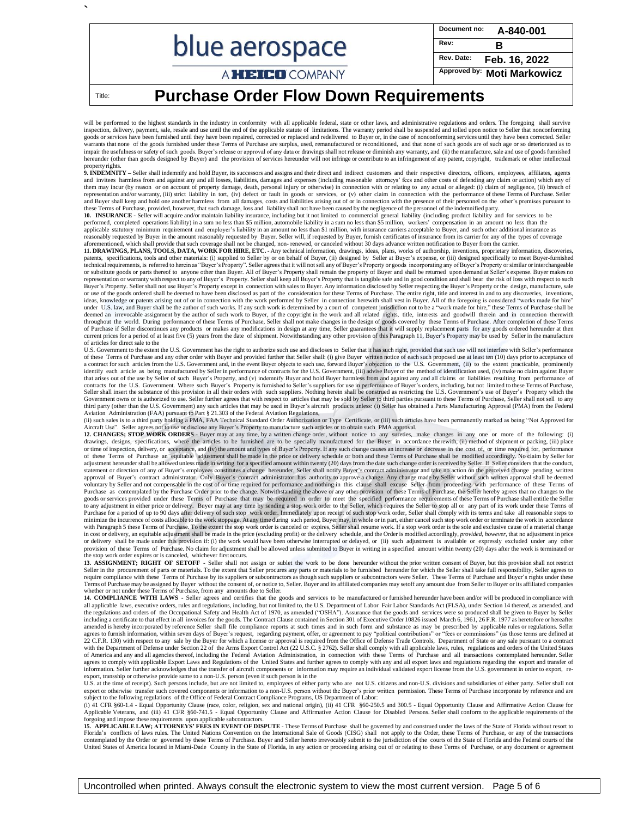|                        | $1^{$ Document no: $A-840-001$ |
|------------------------|--------------------------------|
| blue aerospace         | Rev:<br>R                      |
|                        | Rev. Date: Feb. 16, 2022       |
| A <b>HEICO</b> COMPANY | Approved by: Moti Markowicz    |

### Title: **Purchase Order Flow Down Requirements**

**`**

will be performed to the highest standards in the industry in conformity with all applicable federal, state or other laws, and administrative regulations and orders. The foregoing shall survive<br>inspection, delivery, paymen goods or services have been furnished until they have been repaired, corrected or replaced and redelivered to Buyer or, in the case of nonconforming services until they have been corrected. Seller<br>warrants that none of the impair the usefulness or safety of such goods. Buyer's release or approval of any data or drawings shall not release or diminish any warranty, and (ii) the manufacture, sale and use of goods furnished hereunder (other than goods designed by Buyer) and the provision of services hereunder will not infringe or contribute to an infringement of any patent, copyright, trademark or other intellectual property rights.<br>**9. INDEMNITY** – Seller shall indemnify and hold Buyer, its successors and assigns and their direct customers and their respective directors, officers, employees, affiliates, agents

and invitees harmless from and against any and all losses, liabilities, damages and expenses (including reasonable attorneys' fees and other costs of defending any claim or action) which any of them may incur (by reason or on account of property damage, death, personal injury or otherwise) in connection with or relating to any actual or alleged: (i) claim of negligence, (ii) breach of representation and/or warranty, (iii) strict liability in tort, (iv) defect or fault in goods or services, or (v) other claim in connection with the performance of these Terms of Purchase. Seller<br>and Buyer shall keep and h these Terms of Purchase, provided, however, that such damage, loss and liability shall not have been caused by the negligence of the personnel of the indemnified party.<br>10. INSURANCE - Seller will acquire and/or maintain l

performed, completed operations liability) in a sum no less than \$5 million, automobile liability in a sum no less than \$5 million, workers' compensation in an amount no less than the<br>applicable statutory minimum requireme reasonably requested by Buyer in the amount reasonably requested by Buyer. Seller will, if requested by Buyer, furnish certificates of insurance from its carrier for any of the types of coverage

aforementioned, which shall provide that such coverage shall not be changed, non- renewed, or canceled without 30 days advance written notification to Buyer from the carrier.<br>11. DRAWINGS, PLANS, TOOLS, DATA, WORK FOR HIRE patents, specifications, tools and other materials: (i) supplied to Seller by or on behalf of Buyer, (ii) designed by Seller at Buyer's expense, or (iii) designed specifically to meet Buyer-furnished<br>technical requirements or substitute goods or parts thereof to anyone other than Buyer. All of Buyer's Property shall remain the property of Buyer and shall be returned upon demand at Seller's expense. Buyer makes no representation or warranty with respect to any of Buyer's Property. Seller shall keep all Buyer's Property that is tangible safe and in good condition and shall bear the risk of loss with respect to such<br>Buyer's Property. or use of the goods ordered shall be deemed to have been disclosed as part of the consideration for these Terms of Purchase. The entire right, title and interest in and to any discoveries, inventions, inventions, invention deemed an irrevocable assignment by the author of such work to Buyer, of the copyright in the work and all related rights, title, interests and goodwill therein and in connection therewith<br>throughout the world. During perf of Purchase if Seller discontinues any products or makes any modifications in design at any time, Seller guarantees that it will supply replacement parts for any goods ordered hereunder at then current prices for a period of at least five (5) years from the date of shipment. Notwithstanding any other provision of this Paragraph 11, Buyer's Property may be used by Seller in the manufacture of articles for direct sale to the

U.S. Government to the extent the U.S. Government has the right to authorize such use and discloses to Seller that it has such right, provided that such use will not interfere with Seller's performance of these Terms of Pu a contract for such articles from the U.S. Government and, in the event Buyer objects to such use, forward Buyer's objection to the U.S. Government, (ii) to the extent practicable, prominently<br>identify each article as bein that arises out of the use by Seller of such Buyer's Property, and (v) indemnify Buyer and hold Buyer harmless from and against any and all claims or liabilities resulting from performance of contracts for the U.S. Government. Where such Buyer's Property is furnished to Seller's suppliers for use in performance of Buyer's orders, including, but not limited to these Terms of Purchase,<br>Seller shall insert the sub Government owns or is authorized to use. Seller further agrees that with respect to articles that may be sold by Seller to third parties pursuant to these Terms of Purchase, Seller shall not sell to any<br>third party (other Aviation Administration (FAA) pursuant to Part § 21.303 of the Federal Aviation Regulations,

(ii) such sales is to a third party holding a PMA, FAA Technical Standard Order Authorization or Type Certificate, or (iii) such articles have been permanently marked as being "Not Approved for<br>Aircraft Use". Seller agrees

**12. CHANGES; STOP WORK ORDERS** - Buyer may at any time, by a written change order, without notice to any sureties, make changes in any one or more of the following: (i) drawings, designs, specifications, where the articles to be furnished are to be specially manufactured for the Buyer in accordance therewith, (ii) method of shipment or packing, (iii) place or time of inspection, delivery, statement or direction of any of Buyer's employees constitutes a change hereunder, Seller shall notify Buyer's contract administrator and take no action on the perceived change pending written<br>approval of Buyer's contract Purchase as contemplated by the Purchase Order prior to the change. Notwithstanding the above or any other provision of these Terms of Purchase, the Seller hereby agrees that no changes to the<br>goods or services provided un to any adjustment in either price or delivery. Buyer may at any time by sending a stop work order to the Seller, which requires the Seller to stop all or any part of its work under these Terms of<br>Purchase for a period of u with Paragraph 5 these Terms of Purchase. To the extent the stop work order is canceled or expires, Seller shall resume work. If a stop work order is the sole and exclusive cause of a material change<br>in cost or delivery, a or delivery shall be made under this provision if: (i) the work would have been otherwise interrupted or delayed, or (ii) such adjustment is available or expressly excluded under any other or the work would have been other provision of these Terms of Purchase. No claim for adjustment shall be allowed unless submitted to Buyer in writing in a specified amount within twenty (20) days after the work is terminated or the stop work order expires or is canceled, whichever firstoccurs.

13. ASSIGNMENT; RIGHT OF SETOFF - Seller shall not assign or sublet the work to be done hereunder without the prior written consent of Buyer, but this provision shall not restrict<br>Seller in the procurement of parts or mate require compliance with these Terms of Purchase by its suppliers or subcontractors as though such suppliers or subcontractors were Seller. These Terms of Purchase and Buyer's rights under these Terms of Purchase may be assigned by Buyer without the consent of, or notice to, Seller. Buyer and its affiliated companies may setoff any amount due from Seller to Buyer or its affiliated companies<br>whether or not under th

14. COMPLIANCE WITH LAWS - Seller agrees and certifies that the goods and services to be manufactured or furnished hereunder have been and/or will be produced in compliance with all applicable laws, executive orders, rules the regulations and orders of the Occupational Safety and Health Act of 1970, as amended ("OSHA"). Assurance that the goods and services were so produced shall be given to Buyer by Seller including a certificate to that effect in all invoices for the goods. The Contract Clause contained in Section 301 of Executive Order 10826 issued March 6, 1961, 26 F.R. 1977 as heretofore or hereafter amended is hereby incorporated by reference Seller shall file compliance reports at such times and in such form and substance as may be prescribed by applicable rules or regulations. Seller agrees to furnish information, within seven days of Buyer's request, regarding payment, offer, or agreement to pay "political contributions" or "fees or commissions" (as those terms are defined at<br>22 C.F.R. 130) with respe agrees to comply with applicable Export Laws and Regulations of the United States and further agrees to comply with any and all export laws and regulations regarding the export and transfer of information. Seller further acknowledges that the transfer of aircraft components or information may require an individual validated export license from the U.S. government in order to export, re-

export, transship or otherwise provide same to a non-U.S. person (even if such person is in the<br>U.S. at the time of receipt). Such persons include, but are not limited to, employees of either party who are not U.S. citizen export or otherwise transfer such covered components or information to a non-U.S. person without the Buyer's prior written permission. These Terms of Purchase incorporate by reference and are

subject to the following regulations of the Office of Federal Contract Compliance Programs, US Department of Labor:<br>(i) 41 CFR §60-1.4 - Equal Opportunity Clause (race, color, religion, sex and national origin), (ii) 41 CF

15. APPLICABLE LAW; ATTORNEYS' FEES IN EVENT OF DISPUTE - These Terms of Purchase shall be governed by and construed under the laws of the State of Florida without resort to<br>Florida's conflicts of laws rules. The United Na ntemplated by the Order or governed by these Terms of Purchase. Buyer and Seller hereto irrevocably submit to the jurisdiction of the courts of the State of Florida and the Federal courts of the United States of America located in Miami-Dade County in the State of Florida, in any action or proceeding arising out of or relating to these Terms of Purchase, or any document or agreement